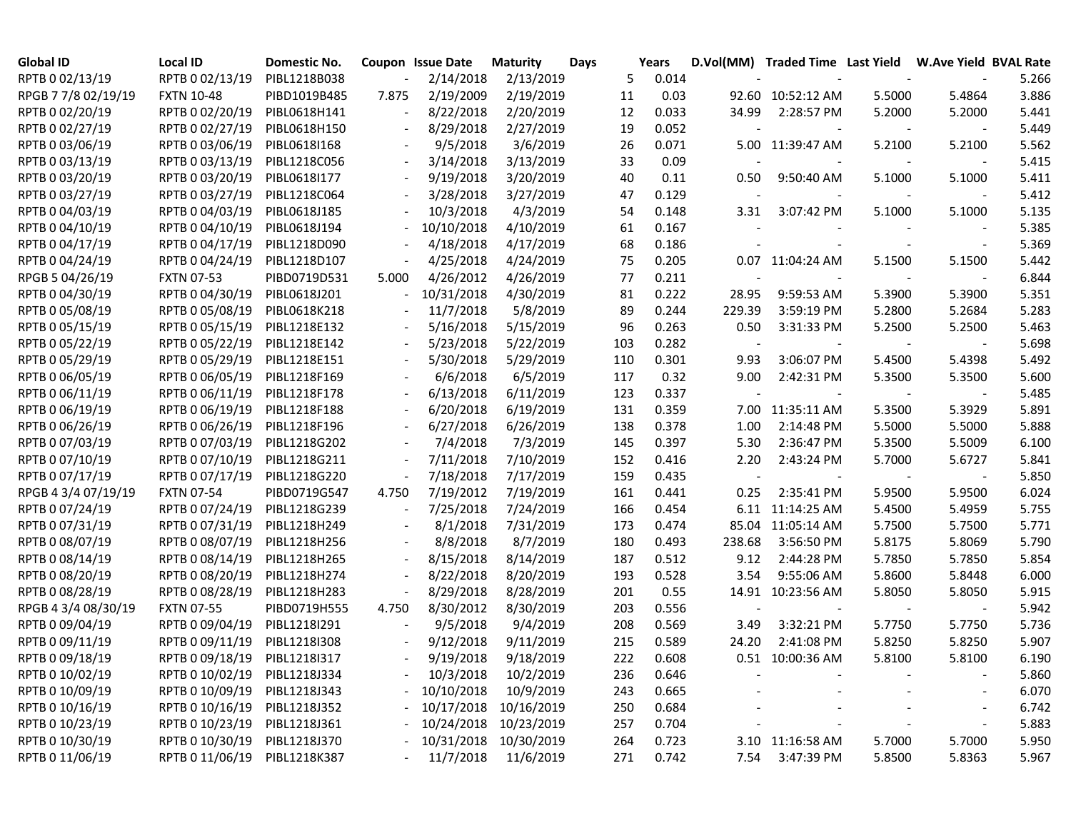| <b>Global ID</b>    | Local ID                     | Domestic No. |                          | <b>Coupon Issue Date</b> | <b>Maturity</b> | Days |     | Years |                | D.Vol(MM) Traded Time Last Yield W.Ave Yield BVAL Rate |        |        |       |
|---------------------|------------------------------|--------------|--------------------------|--------------------------|-----------------|------|-----|-------|----------------|--------------------------------------------------------|--------|--------|-------|
| RPTB 0 02/13/19     | RPTB 0 02/13/19              | PIBL1218B038 |                          | 2/14/2018                | 2/13/2019       |      | 5   | 0.014 |                |                                                        |        |        | 5.266 |
| RPGB 7 7/8 02/19/19 | <b>FXTN 10-48</b>            | PIBD1019B485 | 7.875                    | 2/19/2009                | 2/19/2019       |      | 11  | 0.03  |                | 92.60 10:52:12 AM                                      | 5.5000 | 5.4864 | 3.886 |
| RPTB 0 02/20/19     | RPTB 0 02/20/19              | PIBL0618H141 |                          | 8/22/2018                | 2/20/2019       |      | 12  | 0.033 | 34.99          | 2:28:57 PM                                             | 5.2000 | 5.2000 | 5.441 |
| RPTB 0 02/27/19     | RPTB 0 02/27/19              | PIBL0618H150 |                          | 8/29/2018                | 2/27/2019       |      | 19  | 0.052 |                |                                                        |        |        | 5.449 |
| RPTB 0 03/06/19     | RPTB 0 03/06/19              | PIBL0618I168 |                          | 9/5/2018                 | 3/6/2019        |      | 26  | 0.071 |                | 5.00 11:39:47 AM                                       | 5.2100 | 5.2100 | 5.562 |
| RPTB 0 03/13/19     | RPTB 0 03/13/19              | PIBL1218C056 | $\overline{\phantom{a}}$ | 3/14/2018                | 3/13/2019       |      | 33  | 0.09  |                |                                                        |        |        | 5.415 |
| RPTB 0 03/20/19     | RPTB 0 03/20/19              | PIBL0618I177 | $\sim$                   | 9/19/2018                | 3/20/2019       |      | 40  | 0.11  | 0.50           | 9:50:40 AM                                             | 5.1000 | 5.1000 | 5.411 |
| RPTB 0 03/27/19     | RPTB 0 03/27/19              | PIBL1218C064 | $\overline{\phantom{a}}$ | 3/28/2018                | 3/27/2019       |      | 47  | 0.129 |                |                                                        |        |        | 5.412 |
| RPTB 0 04/03/19     | RPTB 0 04/03/19              | PIBL0618J185 | $\overline{\phantom{a}}$ | 10/3/2018                | 4/3/2019        |      | 54  | 0.148 | 3.31           | 3:07:42 PM                                             | 5.1000 | 5.1000 | 5.135 |
| RPTB 0 04/10/19     | RPTB 0 04/10/19              | PIBL0618J194 | $\sim$                   | 10/10/2018               | 4/10/2019       |      | 61  | 0.167 |                |                                                        |        |        | 5.385 |
| RPTB 0 04/17/19     | RPTB 0 04/17/19              | PIBL1218D090 | $\overline{\phantom{a}}$ | 4/18/2018                | 4/17/2019       |      | 68  | 0.186 |                |                                                        |        |        | 5.369 |
| RPTB 0 04/24/19     | RPTB 0 04/24/19              | PIBL1218D107 | $\blacksquare$           | 4/25/2018                | 4/24/2019       |      | 75  | 0.205 |                | 0.07 11:04:24 AM                                       | 5.1500 | 5.1500 | 5.442 |
| RPGB 5 04/26/19     | <b>FXTN 07-53</b>            | PIBD0719D531 | 5.000                    | 4/26/2012                | 4/26/2019       |      | 77  | 0.211 |                |                                                        |        |        | 6.844 |
| RPTB 0 04/30/19     | RPTB 0 04/30/19              | PIBL0618J201 | $\overline{\phantom{a}}$ | 10/31/2018               | 4/30/2019       |      | 81  | 0.222 | 28.95          | 9:59:53 AM                                             | 5.3900 | 5.3900 | 5.351 |
| RPTB 0 05/08/19     | RPTB 0 05/08/19              | PIBL0618K218 |                          | 11/7/2018                | 5/8/2019        |      | 89  | 0.244 | 229.39         | 3:59:19 PM                                             | 5.2800 | 5.2684 | 5.283 |
| RPTB 0 05/15/19     | RPTB 0 05/15/19              | PIBL1218E132 |                          | 5/16/2018                | 5/15/2019       |      | 96  | 0.263 | 0.50           | 3:31:33 PM                                             | 5.2500 | 5.2500 | 5.463 |
| RPTB 0 05/22/19     | RPTB 0 05/22/19              | PIBL1218E142 | $\blacksquare$           | 5/23/2018                | 5/22/2019       |      | 103 | 0.282 | $\blacksquare$ |                                                        |        |        | 5.698 |
| RPTB 0 05/29/19     | RPTB 0 05/29/19              | PIBL1218E151 | $\blacksquare$           | 5/30/2018                | 5/29/2019       |      | 110 | 0.301 | 9.93           | 3:06:07 PM                                             | 5.4500 | 5.4398 | 5.492 |
| RPTB 0 06/05/19     | RPTB 0 06/05/19              | PIBL1218F169 |                          | 6/6/2018                 | 6/5/2019        |      | 117 | 0.32  | 9.00           | 2:42:31 PM                                             | 5.3500 | 5.3500 | 5.600 |
| RPTB 0 06/11/19     | RPTB 0 06/11/19              | PIBL1218F178 | $\blacksquare$           | 6/13/2018                | 6/11/2019       |      | 123 | 0.337 | $\blacksquare$ |                                                        |        |        | 5.485 |
| RPTB 0 06/19/19     | RPTB 0 06/19/19              | PIBL1218F188 | $\blacksquare$           | 6/20/2018                | 6/19/2019       |      | 131 | 0.359 |                | 7.00 11:35:11 AM                                       | 5.3500 | 5.3929 | 5.891 |
| RPTB 0 06/26/19     | RPTB 0 06/26/19              | PIBL1218F196 | $\blacksquare$           | 6/27/2018                | 6/26/2019       |      | 138 | 0.378 | 1.00           | 2:14:48 PM                                             | 5.5000 | 5.5000 | 5.888 |
| RPTB 0 07/03/19     | RPTB 0 07/03/19              | PIBL1218G202 |                          | 7/4/2018                 | 7/3/2019        |      | 145 | 0.397 | 5.30           | 2:36:47 PM                                             | 5.3500 | 5.5009 | 6.100 |
| RPTB 0 07/10/19     | RPTB 0 07/10/19              | PIBL1218G211 |                          | 7/11/2018                | 7/10/2019       |      | 152 | 0.416 | 2.20           | 2:43:24 PM                                             | 5.7000 | 5.6727 | 5.841 |
| RPTB 0 07/17/19     | RPTB 0 07/17/19              | PIBL1218G220 |                          | 7/18/2018                | 7/17/2019       |      | 159 | 0.435 |                |                                                        |        |        | 5.850 |
| RPGB 4 3/4 07/19/19 | <b>FXTN 07-54</b>            | PIBD0719G547 | 4.750                    | 7/19/2012                | 7/19/2019       |      | 161 | 0.441 | 0.25           | 2:35:41 PM                                             | 5.9500 | 5.9500 | 6.024 |
| RPTB 0 07/24/19     | RPTB 0 07/24/19              | PIBL1218G239 |                          | 7/25/2018                | 7/24/2019       |      | 166 | 0.454 |                | 6.11 11:14:25 AM                                       | 5.4500 | 5.4959 | 5.755 |
| RPTB 0 07/31/19     | RPTB 0 07/31/19              | PIBL1218H249 |                          | 8/1/2018                 | 7/31/2019       |      | 173 | 0.474 |                | 85.04 11:05:14 AM                                      | 5.7500 | 5.7500 | 5.771 |
| RPTB 0 08/07/19     | RPTB 0 08/07/19              | PIBL1218H256 |                          | 8/8/2018                 | 8/7/2019        |      | 180 | 0.493 | 238.68         | 3:56:50 PM                                             | 5.8175 | 5.8069 | 5.790 |
| RPTB 0 08/14/19     | RPTB 0 08/14/19              | PIBL1218H265 | $\overline{\phantom{a}}$ | 8/15/2018                | 8/14/2019       |      | 187 | 0.512 | 9.12           | 2:44:28 PM                                             | 5.7850 | 5.7850 | 5.854 |
| RPTB 0 08/20/19     | RPTB 0 08/20/19              | PIBL1218H274 | $\overline{\phantom{a}}$ | 8/22/2018                | 8/20/2019       |      | 193 | 0.528 | 3.54           | 9:55:06 AM                                             | 5.8600 | 5.8448 | 6.000 |
| RPTB 0 08/28/19     | RPTB 0 08/28/19              | PIBL1218H283 | $\overline{\phantom{a}}$ | 8/29/2018                | 8/28/2019       |      | 201 | 0.55  | 14.91          | 10:23:56 AM                                            | 5.8050 | 5.8050 | 5.915 |
| RPGB 4 3/4 08/30/19 | <b>FXTN 07-55</b>            | PIBD0719H555 | 4.750                    | 8/30/2012                | 8/30/2019       |      | 203 | 0.556 |                |                                                        |        |        | 5.942 |
| RPTB 0 09/04/19     | RPTB 0 09/04/19              | PIBL1218I291 | $\blacksquare$           | 9/5/2018                 | 9/4/2019        |      | 208 | 0.569 | 3.49           | 3:32:21 PM                                             | 5.7750 | 5.7750 | 5.736 |
| RPTB 0 09/11/19     | RPTB 0 09/11/19              | PIBL1218I308 |                          | 9/12/2018                | 9/11/2019       |      | 215 | 0.589 | 24.20          | 2:41:08 PM                                             | 5.8250 | 5.8250 | 5.907 |
| RPTB 0 09/18/19     | RPTB 0 09/18/19 PIBL1218I317 |              |                          | 9/19/2018                | 9/18/2019       |      | 222 | 0.608 |                | 0.51 10:00:36 AM                                       | 5.8100 | 5.8100 | 6.190 |
| RPTB 0 10/02/19     | RPTB 0 10/02/19 PIBL1218J334 |              |                          | 10/3/2018                | 10/2/2019       |      | 236 | 0.646 |                |                                                        |        |        | 5.860 |
| RPTB 0 10/09/19     | RPTB 0 10/09/19 PIBL1218J343 |              |                          | 10/10/2018               | 10/9/2019       |      | 243 | 0.665 |                |                                                        |        |        | 6.070 |
| RPTB 0 10/16/19     | RPTB 0 10/16/19              | PIBL1218J352 |                          | $-10/17/2018$            | 10/16/2019      |      | 250 | 0.684 |                |                                                        |        |        | 6.742 |
| RPTB 0 10/23/19     | RPTB 0 10/23/19              | PIBL1218J361 |                          | $-10/24/2018$            | 10/23/2019      |      | 257 | 0.704 |                |                                                        |        |        | 5.883 |
| RPTB 0 10/30/19     | RPTB 0 10/30/19              | PIBL1218J370 |                          | $-10/31/2018$            | 10/30/2019      |      | 264 | 0.723 |                | 3.10 11:16:58 AM                                       | 5.7000 | 5.7000 | 5.950 |
| RPTB 0 11/06/19     | RPTB 0 11/06/19              | PIBL1218K387 |                          | 11/7/2018                | 11/6/2019       |      | 271 | 0.742 | 7.54           | 3:47:39 PM                                             | 5.8500 | 5.8363 | 5.967 |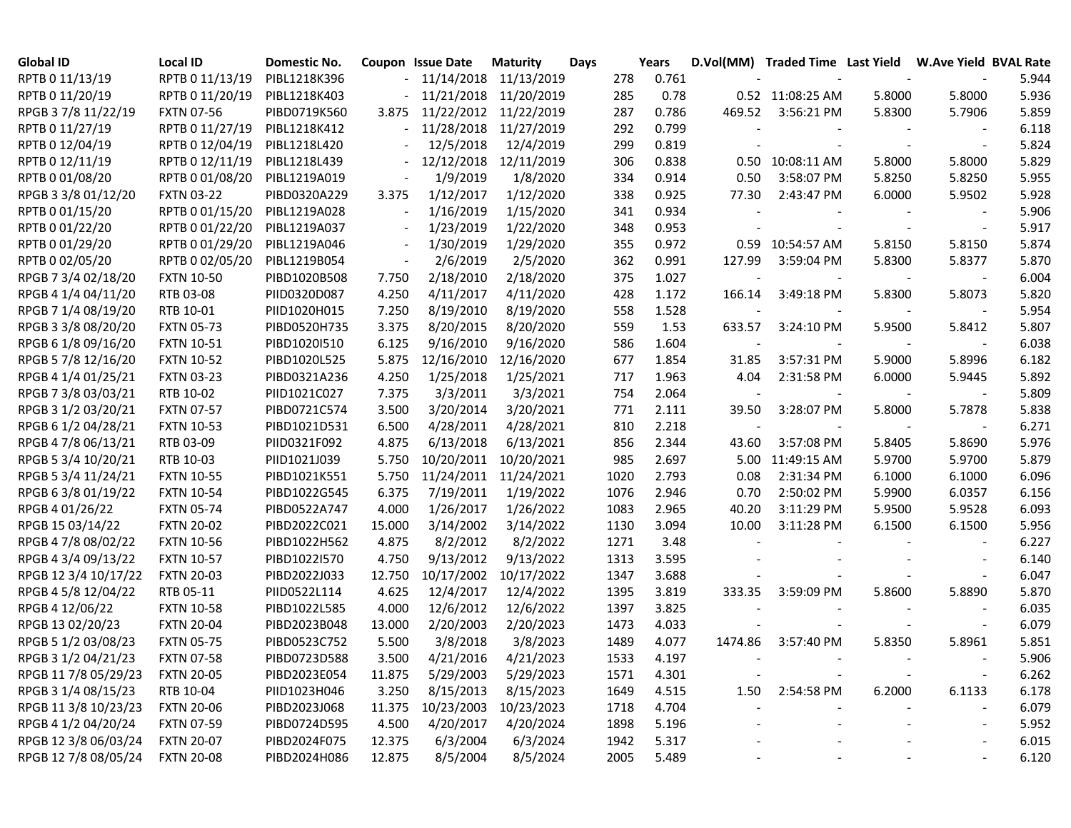| <b>Global ID</b>     | Local ID          | Domestic No. |                          | <b>Coupon Issue Date</b> | <b>Maturity</b> | Days |      | Years |                          | D.Vol(MM) Traded Time Last Yield W.Ave Yield BVAL Rate |        |        |       |
|----------------------|-------------------|--------------|--------------------------|--------------------------|-----------------|------|------|-------|--------------------------|--------------------------------------------------------|--------|--------|-------|
| RPTB 0 11/13/19      | RPTB 0 11/13/19   | PIBL1218K396 |                          | 11/14/2018               | 11/13/2019      |      | 278  | 0.761 |                          |                                                        |        |        | 5.944 |
| RPTB 0 11/20/19      | RPTB 0 11/20/19   | PIBL1218K403 |                          | 11/21/2018               | 11/20/2019      |      | 285  | 0.78  |                          | 0.52 11:08:25 AM                                       | 5.8000 | 5.8000 | 5.936 |
| RPGB 37/8 11/22/19   | <b>FXTN 07-56</b> | PIBD0719K560 | 3.875                    | 11/22/2012               | 11/22/2019      |      | 287  | 0.786 | 469.52                   | 3:56:21 PM                                             | 5.8300 | 5.7906 | 5.859 |
| RPTB 0 11/27/19      | RPTB 0 11/27/19   | PIBL1218K412 |                          | 11/28/2018               | 11/27/2019      |      | 292  | 0.799 |                          |                                                        |        |        | 6.118 |
| RPTB 0 12/04/19      | RPTB 0 12/04/19   | PIBL1218L420 |                          | 12/5/2018                | 12/4/2019       |      | 299  | 0.819 |                          |                                                        |        |        | 5.824 |
| RPTB 0 12/11/19      | RPTB 0 12/11/19   | PIBL1218L439 | $\overline{\phantom{0}}$ | 12/12/2018               | 12/11/2019      |      | 306  | 0.838 |                          | 0.50 10:08:11 AM                                       | 5.8000 | 5.8000 | 5.829 |
| RPTB 0 01/08/20      | RPTB 0 01/08/20   | PIBL1219A019 | $\overline{\phantom{a}}$ | 1/9/2019                 | 1/8/2020        |      | 334  | 0.914 | 0.50                     | 3:58:07 PM                                             | 5.8250 | 5.8250 | 5.955 |
| RPGB 3 3/8 01/12/20  | <b>FXTN 03-22</b> | PIBD0320A229 | 3.375                    | 1/12/2017                | 1/12/2020       |      | 338  | 0.925 | 77.30                    | 2:43:47 PM                                             | 6.0000 | 5.9502 | 5.928 |
| RPTB 0 01/15/20      | RPTB 0 01/15/20   | PIBL1219A028 | $\blacksquare$           | 1/16/2019                | 1/15/2020       |      | 341  | 0.934 |                          |                                                        |        |        | 5.906 |
| RPTB 0 01/22/20      | RPTB 0 01/22/20   | PIBL1219A037 | $\overline{\phantom{a}}$ | 1/23/2019                | 1/22/2020       |      | 348  | 0.953 |                          |                                                        |        |        | 5.917 |
| RPTB 0 01/29/20      | RPTB 0 01/29/20   | PIBL1219A046 | $\overline{\phantom{a}}$ | 1/30/2019                | 1/29/2020       |      | 355  | 0.972 |                          | 0.59 10:54:57 AM                                       | 5.8150 | 5.8150 | 5.874 |
| RPTB 0 02/05/20      | RPTB 0 02/05/20   | PIBL1219B054 | $\overline{\phantom{a}}$ | 2/6/2019                 | 2/5/2020        |      | 362  | 0.991 | 127.99                   | 3:59:04 PM                                             | 5.8300 | 5.8377 | 5.870 |
| RPGB 7 3/4 02/18/20  | <b>FXTN 10-50</b> | PIBD1020B508 | 7.750                    | 2/18/2010                | 2/18/2020       |      | 375  | 1.027 |                          |                                                        |        |        | 6.004 |
| RPGB 4 1/4 04/11/20  | RTB 03-08         | PIID0320D087 | 4.250                    | 4/11/2017                | 4/11/2020       |      | 428  | 1.172 | 166.14                   | 3:49:18 PM                                             | 5.8300 | 5.8073 | 5.820 |
| RPGB 7 1/4 08/19/20  | RTB 10-01         | PIID1020H015 | 7.250                    | 8/19/2010                | 8/19/2020       |      | 558  | 1.528 |                          |                                                        |        |        | 5.954 |
| RPGB 3 3/8 08/20/20  | <b>FXTN 05-73</b> | PIBD0520H735 | 3.375                    | 8/20/2015                | 8/20/2020       |      | 559  | 1.53  | 633.57                   | 3:24:10 PM                                             | 5.9500 | 5.8412 | 5.807 |
| RPGB 6 1/8 09/16/20  | <b>FXTN 10-51</b> | PIBD1020I510 | 6.125                    | 9/16/2010                | 9/16/2020       |      | 586  | 1.604 |                          |                                                        |        |        | 6.038 |
| RPGB 5 7/8 12/16/20  | <b>FXTN 10-52</b> | PIBD1020L525 | 5.875                    | 12/16/2010               | 12/16/2020      |      | 677  | 1.854 | 31.85                    | 3:57:31 PM                                             | 5.9000 | 5.8996 | 6.182 |
| RPGB 4 1/4 01/25/21  | <b>FXTN 03-23</b> | PIBD0321A236 | 4.250                    | 1/25/2018                | 1/25/2021       |      | 717  | 1.963 | 4.04                     | 2:31:58 PM                                             | 6.0000 | 5.9445 | 5.892 |
| RPGB 7 3/8 03/03/21  | RTB 10-02         | PIID1021C027 | 7.375                    | 3/3/2011                 | 3/3/2021        |      | 754  | 2.064 | $\overline{\phantom{a}}$ |                                                        |        |        | 5.809 |
| RPGB 3 1/2 03/20/21  | <b>FXTN 07-57</b> | PIBD0721C574 | 3.500                    | 3/20/2014                | 3/20/2021       |      | 771  | 2.111 | 39.50                    | 3:28:07 PM                                             | 5.8000 | 5.7878 | 5.838 |
| RPGB 6 1/2 04/28/21  | <b>FXTN 10-53</b> | PIBD1021D531 | 6.500                    | 4/28/2011                | 4/28/2021       |      | 810  | 2.218 |                          |                                                        |        |        | 6.271 |
| RPGB 4 7/8 06/13/21  | RTB 03-09         | PIID0321F092 | 4.875                    | 6/13/2018                | 6/13/2021       |      | 856  | 2.344 | 43.60                    | 3:57:08 PM                                             | 5.8405 | 5.8690 | 5.976 |
| RPGB 5 3/4 10/20/21  | RTB 10-03         | PIID1021J039 | 5.750                    | 10/20/2011               | 10/20/2021      |      | 985  | 2.697 | 5.00                     | 11:49:15 AM                                            | 5.9700 | 5.9700 | 5.879 |
| RPGB 5 3/4 11/24/21  | <b>FXTN 10-55</b> | PIBD1021K551 | 5.750                    | 11/24/2011               | 11/24/2021      |      | 1020 | 2.793 | 0.08                     | 2:31:34 PM                                             | 6.1000 | 6.1000 | 6.096 |
| RPGB 6 3/8 01/19/22  | <b>FXTN 10-54</b> | PIBD1022G545 | 6.375                    | 7/19/2011                | 1/19/2022       |      | 1076 | 2.946 | 0.70                     | 2:50:02 PM                                             | 5.9900 | 6.0357 | 6.156 |
| RPGB 4 01/26/22      | <b>FXTN 05-74</b> | PIBD0522A747 | 4.000                    | 1/26/2017                | 1/26/2022       |      | 1083 | 2.965 | 40.20                    | 3:11:29 PM                                             | 5.9500 | 5.9528 | 6.093 |
| RPGB 15 03/14/22     | <b>FXTN 20-02</b> | PIBD2022C021 | 15.000                   | 3/14/2002                | 3/14/2022       |      | 1130 | 3.094 | 10.00                    | 3:11:28 PM                                             | 6.1500 | 6.1500 | 5.956 |
| RPGB 4 7/8 08/02/22  | <b>FXTN 10-56</b> | PIBD1022H562 | 4.875                    | 8/2/2012                 | 8/2/2022        |      | 1271 | 3.48  |                          |                                                        |        |        | 6.227 |
| RPGB 4 3/4 09/13/22  | <b>FXTN 10-57</b> | PIBD1022I570 | 4.750                    | 9/13/2012                | 9/13/2022       |      | 1313 | 3.595 |                          |                                                        |        |        | 6.140 |
| RPGB 12 3/4 10/17/22 | <b>FXTN 20-03</b> | PIBD2022J033 | 12.750                   | 10/17/2002               | 10/17/2022      |      | 1347 | 3.688 |                          |                                                        |        |        | 6.047 |
| RPGB 4 5/8 12/04/22  | RTB 05-11         | PIID0522L114 | 4.625                    | 12/4/2017                | 12/4/2022       |      | 1395 | 3.819 | 333.35                   | 3:59:09 PM                                             | 5.8600 | 5.8890 | 5.870 |
| RPGB 4 12/06/22      | <b>FXTN 10-58</b> | PIBD1022L585 | 4.000                    | 12/6/2012                | 12/6/2022       |      | 1397 | 3.825 |                          |                                                        |        |        | 6.035 |
| RPGB 13 02/20/23     | <b>FXTN 20-04</b> | PIBD2023B048 | 13.000                   | 2/20/2003                | 2/20/2023       |      | 1473 | 4.033 |                          |                                                        |        |        | 6.079 |
| RPGB 5 1/2 03/08/23  | <b>FXTN 05-75</b> | PIBD0523C752 | 5.500                    | 3/8/2018                 | 3/8/2023        |      | 1489 | 4.077 | 1474.86                  | 3:57:40 PM                                             | 5.8350 | 5.8961 | 5.851 |
| RPGB 3 1/2 04/21/23  | <b>FXTN 07-58</b> | PIBD0723D588 | 3.500                    | 4/21/2016                | 4/21/2023       |      | 1533 | 4.197 |                          |                                                        |        |        | 5.906 |
| RPGB 11 7/8 05/29/23 | <b>FXTN 20-05</b> | PIBD2023E054 | 11.875                   | 5/29/2003                | 5/29/2023       |      | 1571 | 4.301 |                          |                                                        |        |        | 6.262 |
| RPGB 3 1/4 08/15/23  | RTB 10-04         | PIID1023H046 | 3.250                    | 8/15/2013                | 8/15/2023       |      | 1649 | 4.515 | 1.50                     | 2:54:58 PM                                             | 6.2000 | 6.1133 | 6.178 |
| RPGB 11 3/8 10/23/23 | <b>FXTN 20-06</b> | PIBD2023J068 | 11.375                   | 10/23/2003               | 10/23/2023      |      | 1718 | 4.704 |                          |                                                        |        |        | 6.079 |
| RPGB 4 1/2 04/20/24  | <b>FXTN 07-59</b> | PIBD0724D595 | 4.500                    | 4/20/2017                | 4/20/2024       |      | 1898 | 5.196 |                          |                                                        |        |        | 5.952 |
| RPGB 12 3/8 06/03/24 | <b>FXTN 20-07</b> | PIBD2024F075 | 12.375                   | 6/3/2004                 | 6/3/2024        |      | 1942 | 5.317 |                          |                                                        |        |        | 6.015 |
| RPGB 12 7/8 08/05/24 | <b>FXTN 20-08</b> | PIBD2024H086 | 12.875                   | 8/5/2004                 | 8/5/2024        |      | 2005 | 5.489 |                          |                                                        |        |        | 6.120 |